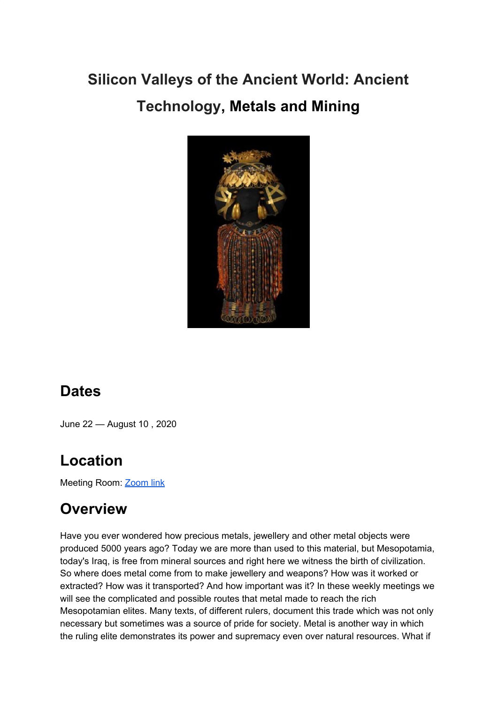# **Silicon Valleys of the Ancient World: Ancient Technology, Metals and Mining**



# **Dates**

June 22 — August 10 , 2020

# **Location**

Meeting Room[:](https://us02web.zoom.us/j/85346235480) **[Zoom](https://us02web.zoom.us/j/85346235480) link** 

# **Overview**

Have you ever wondered how precious metals, jewellery and other metal objects were produced 5000 years ago? Today we are more than used to this material, but Mesopotamia, today's Iraq, is free from mineral sources and right here we witness the birth of civilization. So where does metal come from to make jewellery and weapons? How was it worked or extracted? How was it transported? And how important was it? In these weekly meetings we will see the complicated and possible routes that metal made to reach the rich Mesopotamian elites. Many texts, of different rulers, document this trade which was not only necessary but sometimes was a source of pride for society. Metal is another way in which the ruling elite demonstrates its power and supremacy even over natural resources. What if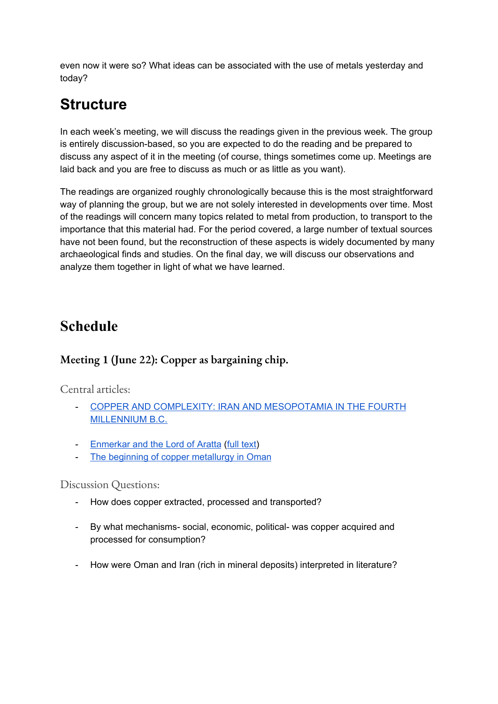even now it were so? What ideas can be associated with the use of metals yesterday and today?

# **Structure**

In each week's meeting, we will discuss the readings given in the previous week. The group is entirely discussion-based, so you are expected to do the reading and be prepared to discuss any aspect of it in the meeting (of course, things sometimes come up. Meetings are laid back and you are free to discuss as much or as little as you want).

The readings are organized roughly chronologically because this is the most straightforward way of planning the group, but we are not solely interested in developments over time. Most of the readings will concern many topics related to metal from production, to transport to the importance that this material had. For the period covered, a large number of textual sources have not been found, but the reconstruction of these aspects is widely documented by many archaeological finds and studies. On the final day, we will discuss our observations and analyze them together in light of what we have learned.

## **Schedule**

#### **Meeting 1 (June 22): Copper as bargaining chip.**

Central articles:

- COPPER AND COMPLEXITY: IRAN AND [MESOPOTAMIA](https://drive.google.com/file/d/1Xrz1hrN30jWZ8aCPuEhSVObzDV9Hz6zP/view?usp=sharing) IN THE FOURTH [MILLENNIUM](https://drive.google.com/file/d/1Xrz1hrN30jWZ8aCPuEhSVObzDV9Hz6zP/view?usp=sharing) B.C.
- [Enmerkar](https://drive.google.com/file/d/1DO6PEhIg0Xuurag3Cs8G1sx9Cfwz2bHY/view?usp=sharing) and the Lord of Aratta (full [text\)](http://etcsl.orinst.ox.ac.uk/section1/tr1823.htm)
- The beginning of copper [metallurgy](https://drive.google.com/file/d/1vK6X6Ln8hvJYm64IsBFU5pHOM79aq8s4/view?usp=sharing) in Oman

- How does copper extracted, processed and transported?
- By what mechanisms- social, economic, political- was copper acquired and processed for consumption?
- How were Oman and Iran (rich in mineral deposits) interpreted in literature?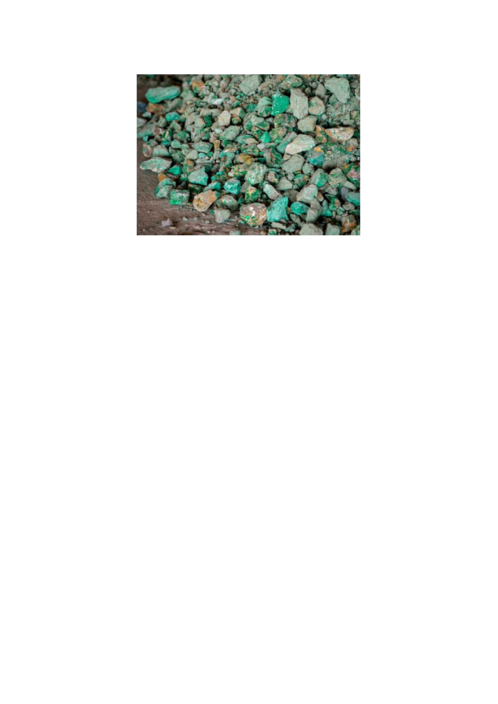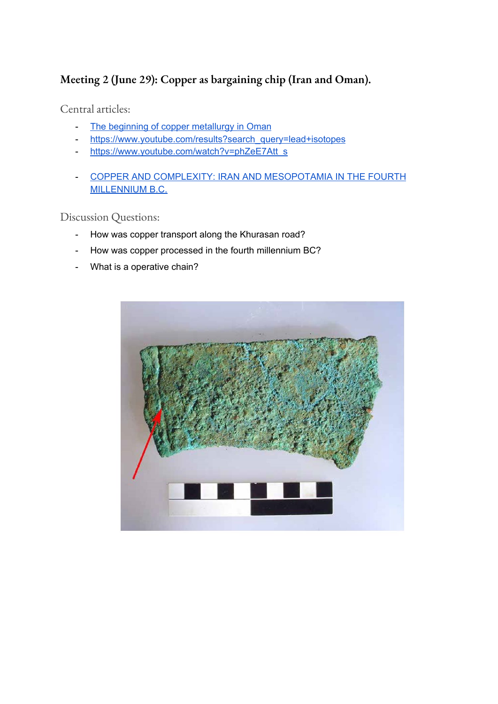### **Meeting 2 (June 29): Copper as bargaining chip (Iran and Oman).**

Central articles:

- The beginning of copper [metallurgy](https://drive.google.com/file/d/1vK6X6Ln8hvJYm64IsBFU5pHOM79aq8s4/view?usp=sharing) in Oman
- [https://www.youtube.com/results?search\\_query=lead+isotopes](https://www.youtube.com/results?search_query=lead+isotopes)
- [https://www.youtube.com/watch?v=phZeE7Att\\_s](https://www.youtube.com/watch?v=phZeE7Att_s)
- COPPER AND COMPLEXITY: IRAN AND [MESOPOTAMIA](https://drive.google.com/file/d/1Xrz1hrN30jWZ8aCPuEhSVObzDV9Hz6zP/view?usp=sharing) IN THE FOURTH [MILLENNIUM](https://drive.google.com/file/d/1Xrz1hrN30jWZ8aCPuEhSVObzDV9Hz6zP/view?usp=sharing) B.C.

- How was copper transport along the Khurasan road?
- How was copper processed in the fourth millennium BC?
- What is a operative chain?

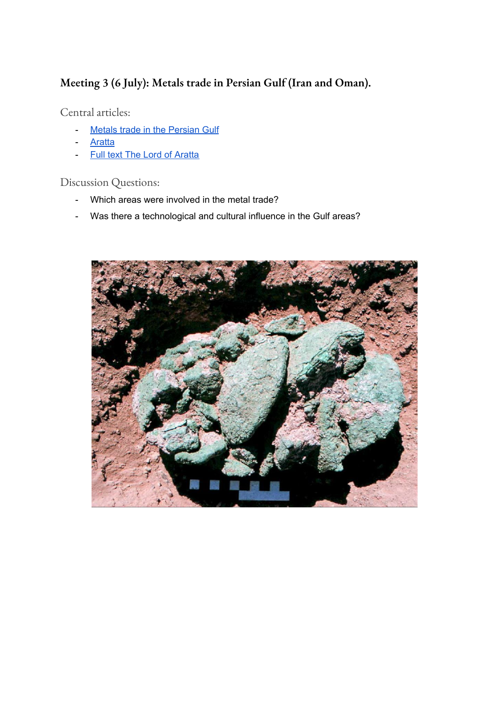### **Meeting 3 (6 July): Metals trade in Persian Gulf (Iran and Oman).**

Central articles:

- Metals trade in the [Persian](https://drive.google.com/file/d/1z8tFABeI3NcIe8binOi0QH6jVq1KRznL/view?usp=sharing) Gulf
- **[Aratta](https://drive.google.com/file/d/1DO6PEhIg0Xuurag3Cs8G1sx9Cfwz2bHY/view?usp=sharing)**
- Full text The Lord of [Aratta](https://drive.google.com/file/d/1DO6PEhIg0Xuurag3Cs8G1sx9Cfwz2bHY/view?usp=sharing)

- Which areas were involved in the metal trade?
- Was there a technological and cultural influence in the Gulf areas?

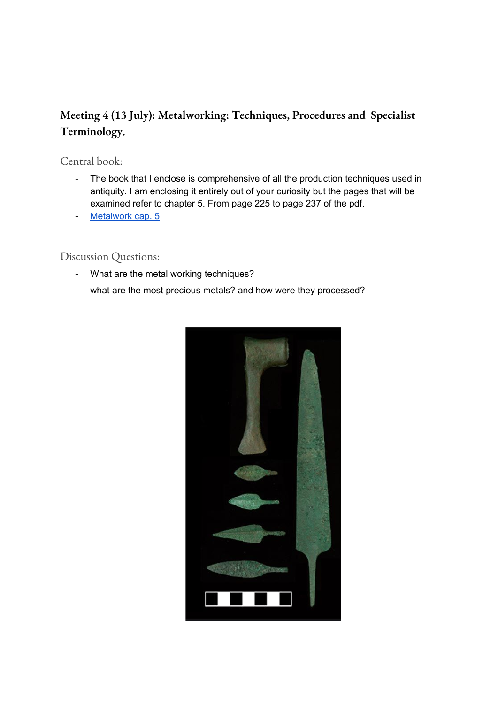### **Meeting 4 (13 July): Metalworking: Techniques, Procedures and Specialist Terminology.**

Central book:

- The book that I enclose is comprehensive of all the production techniques used in antiquity. I am enclosing it entirely out of your curiosity but the pages that will be examined refer to chapter 5. From page 225 to page 237 of the pdf.
- [Metalwork](https://drive.google.com/file/d/1xxbYOHsLRHP8ivedELP99l8U2Vkio2d2/view?usp=sharing) cap. 5

- What are the metal working techniques?
- what are the most precious metals? and how were they processed?

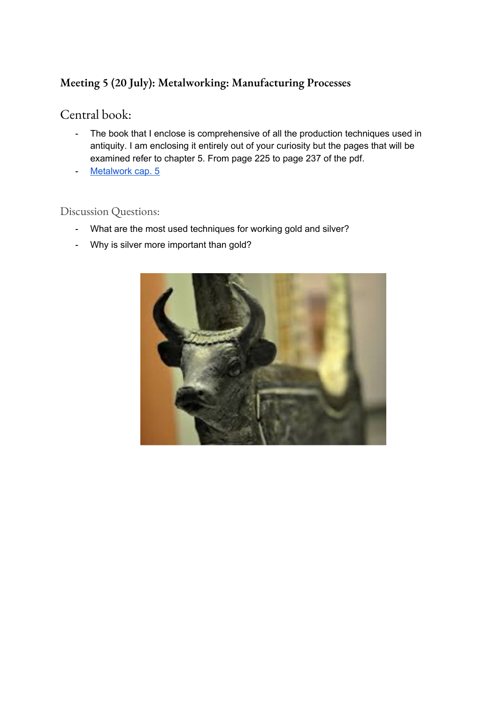#### **Meeting 5 (20 July): Metalworking: Manufacturing Processes**

### Central book:

- The book that I enclose is comprehensive of all the production techniques used in antiquity. I am enclosing it entirely out of your curiosity but the pages that will be examined refer to chapter 5. From page 225 to page 237 of the pdf.
- [Metalwork](https://drive.google.com/file/d/1xxbYOHsLRHP8ivedELP99l8U2Vkio2d2/view?usp=sharing) cap. 5

- What are the most used techniques for working gold and silver?
- Why is silver more important than gold?

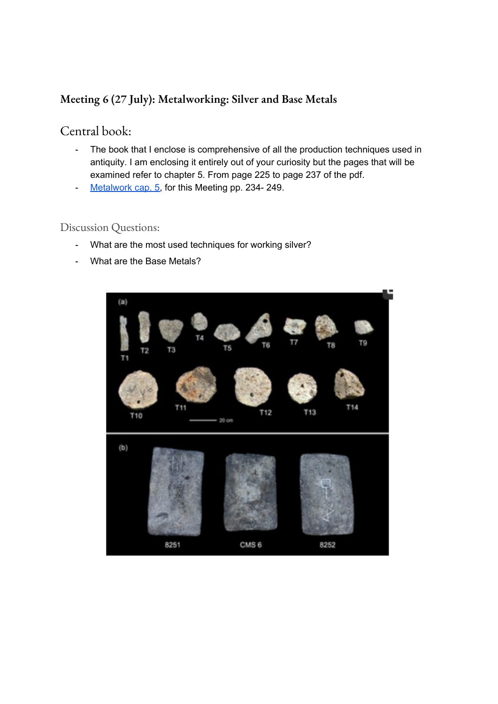#### **Meeting 6 (27 July): Metalworking: Silver and Base Metals**

### Central book:

- The book that I enclose is comprehensive of all the production techniques used in antiquity. I am enclosing it entirely out of your curiosity but the pages that will be examined refer to chapter 5. From page 225 to page 237 of the pdf.
- [Metalwork](https://drive.google.com/file/d/1xxbYOHsLRHP8ivedELP99l8U2Vkio2d2/view?usp=sharing) cap. 5, for this Meeting pp. 234- 249.

- What are the most used techniques for working silver?
- What are the Base Metals?

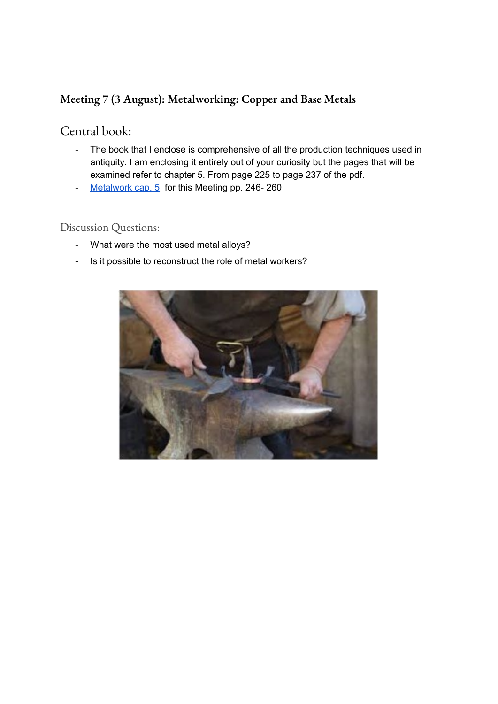### **Meeting 7 (3 August): Metalworking: Copper and Base Metals**

#### Central book:

- The book that I enclose is comprehensive of all the production techniques used in antiquity. I am enclosing it entirely out of your curiosity but the pages that will be examined refer to chapter 5. From page 225 to page 237 of the pdf.
- [Metalwork](https://drive.google.com/file/d/1xxbYOHsLRHP8ivedELP99l8U2Vkio2d2/view?usp=sharing) cap. 5, for this Meeting pp. 246-260.

- What were the most used metal alloys?
- Is it possible to reconstruct the role of metal workers?